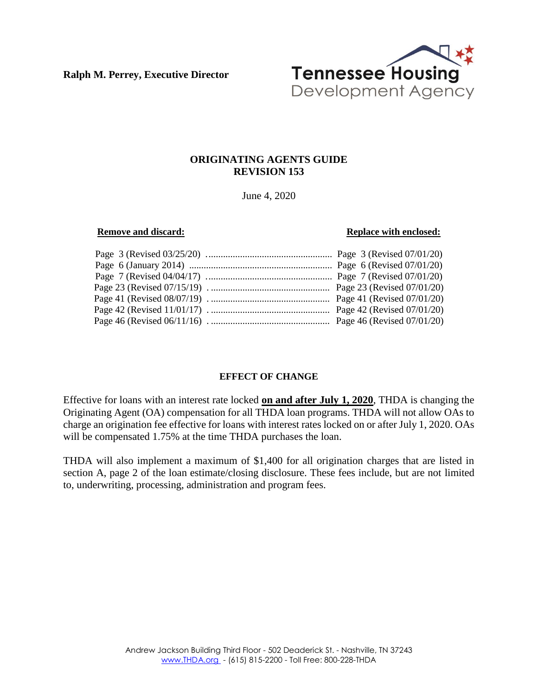**Ralph M. Perrey, Executive Director**



# **ORIGINATING AGENTS GUIDE REVISION 153**

June 4, 2020

#### **Remove and discard: Replace with enclosed: Replace with enclosed:**

# **EFFECT OF CHANGE**

Effective for loans with an interest rate locked **on and after July 1, 2020**, THDA is changing the Originating Agent (OA) compensation for all THDA loan programs. THDA will not allow OAs to charge an origination fee effective for loans with interest rates locked on or after July 1, 2020. OAs will be compensated 1.75% at the time THDA purchases the loan.

THDA will also implement a maximum of \$1,400 for all origination charges that are listed in section A, page 2 of the loan estimate/closing disclosure. These fees include, but are not limited to, underwriting, processing, administration and program fees.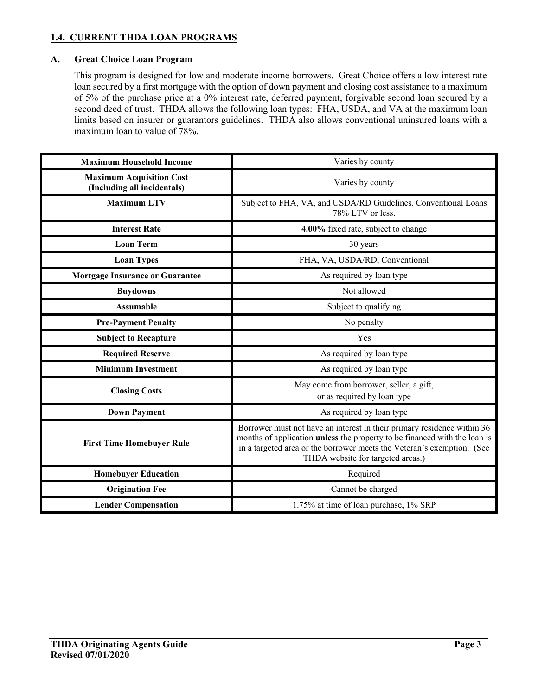# **1.4. CURRENT THDA LOAN PROGRAMS**

## **A. Great Choice Loan Program**

This program is designed for low and moderate income borrowers. Great Choice offers a low interest rate loan secured by a first mortgage with the option of down payment and closing cost assistance to a maximum of 5% of the purchase price at a 0% interest rate, deferred payment, forgivable second loan secured by a second deed of trust. THDA allows the following loan types: FHA, USDA, and VA at the maximum loan limits based on insurer or guarantors guidelines. THDA also allows conventional uninsured loans with a maximum loan to value of 78%.

| <b>Maximum Household Income</b>                                | Varies by county                                                                                                                                                                                                                                                           |  |
|----------------------------------------------------------------|----------------------------------------------------------------------------------------------------------------------------------------------------------------------------------------------------------------------------------------------------------------------------|--|
| <b>Maximum Acquisition Cost</b><br>(Including all incidentals) | Varies by county                                                                                                                                                                                                                                                           |  |
| <b>Maximum LTV</b>                                             | Subject to FHA, VA, and USDA/RD Guidelines. Conventional Loans<br>78% LTV or less.                                                                                                                                                                                         |  |
| <b>Interest Rate</b>                                           | 4.00% fixed rate, subject to change                                                                                                                                                                                                                                        |  |
| <b>Loan Term</b>                                               | 30 years                                                                                                                                                                                                                                                                   |  |
| <b>Loan Types</b>                                              | FHA, VA, USDA/RD, Conventional                                                                                                                                                                                                                                             |  |
| <b>Mortgage Insurance or Guarantee</b>                         | As required by loan type                                                                                                                                                                                                                                                   |  |
| <b>Buydowns</b>                                                | Not allowed                                                                                                                                                                                                                                                                |  |
| <b>Assumable</b>                                               | Subject to qualifying                                                                                                                                                                                                                                                      |  |
| <b>Pre-Payment Penalty</b>                                     | No penalty                                                                                                                                                                                                                                                                 |  |
| <b>Subject to Recapture</b>                                    | Yes                                                                                                                                                                                                                                                                        |  |
| <b>Required Reserve</b>                                        | As required by loan type                                                                                                                                                                                                                                                   |  |
| <b>Minimum Investment</b>                                      | As required by loan type                                                                                                                                                                                                                                                   |  |
| <b>Closing Costs</b>                                           | May come from borrower, seller, a gift,<br>or as required by loan type                                                                                                                                                                                                     |  |
| <b>Down Payment</b>                                            | As required by loan type                                                                                                                                                                                                                                                   |  |
| <b>First Time Homebuyer Rule</b>                               | Borrower must not have an interest in their primary residence within 36<br>months of application <b>unless</b> the property to be financed with the loan is<br>in a targeted area or the borrower meets the Veteran's exemption. (See<br>THDA website for targeted areas.) |  |
| <b>Homebuyer Education</b>                                     | Required                                                                                                                                                                                                                                                                   |  |
| <b>Origination Fee</b>                                         | Cannot be charged                                                                                                                                                                                                                                                          |  |
| <b>Lender Compensation</b>                                     | 1.75% at time of loan purchase, 1% SRP                                                                                                                                                                                                                                     |  |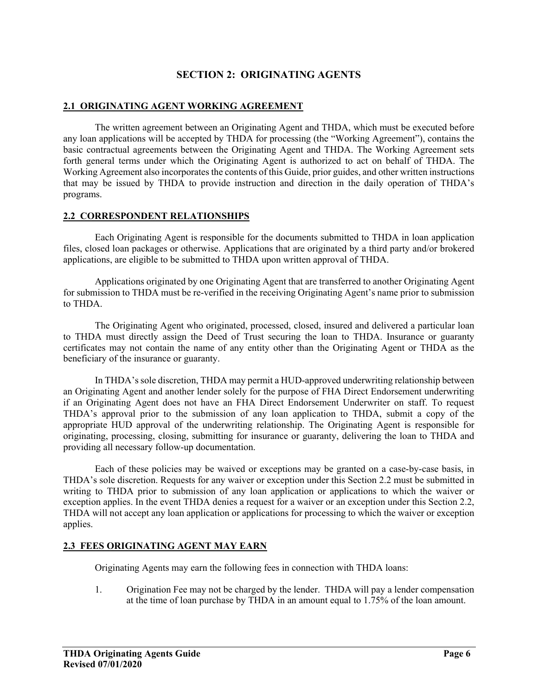# **SECTION 2: ORIGINATING AGENTS**

## **2.1 ORIGINATING AGENT WORKING AGREEMENT**

The written agreement between an Originating Agent and THDA, which must be executed before any loan applications will be accepted by THDA for processing (the "Working Agreement"), contains the basic contractual agreements between the Originating Agent and THDA. The Working Agreement sets forth general terms under which the Originating Agent is authorized to act on behalf of THDA. The Working Agreement also incorporates the contents of this Guide, prior guides, and other written instructions that may be issued by THDA to provide instruction and direction in the daily operation of THDA's programs.

#### **2.2 CORRESPONDENT RELATIONSHIPS**

Each Originating Agent is responsible for the documents submitted to THDA in loan application files, closed loan packages or otherwise. Applications that are originated by a third party and/or brokered applications, are eligible to be submitted to THDA upon written approval of THDA.

Applications originated by one Originating Agent that are transferred to another Originating Agent for submission to THDA must be re-verified in the receiving Originating Agent's name prior to submission to THDA.

The Originating Agent who originated, processed, closed, insured and delivered a particular loan to THDA must directly assign the Deed of Trust securing the loan to THDA. Insurance or guaranty certificates may not contain the name of any entity other than the Originating Agent or THDA as the beneficiary of the insurance or guaranty.

In THDA's sole discretion, THDA may permit a HUD-approved underwriting relationship between an Originating Agent and another lender solely for the purpose of FHA Direct Endorsement underwriting if an Originating Agent does not have an FHA Direct Endorsement Underwriter on staff. To request THDA's approval prior to the submission of any loan application to THDA, submit a copy of the appropriate HUD approval of the underwriting relationship. The Originating Agent is responsible for originating, processing, closing, submitting for insurance or guaranty, delivering the loan to THDA and providing all necessary follow-up documentation.

Each of these policies may be waived or exceptions may be granted on a case-by-case basis, in THDA's sole discretion. Requests for any waiver or exception under this Section 2.2 must be submitted in writing to THDA prior to submission of any loan application or applications to which the waiver or exception applies. In the event THDA denies a request for a waiver or an exception under this Section 2.2, THDA will not accept any loan application or applications for processing to which the waiver or exception applies.

# **2.3 FEES ORIGINATING AGENT MAY EARN**

Originating Agents may earn the following fees in connection with THDA loans:

1. Origination Fee may not be charged by the lender. THDA will pay a lender compensation at the time of loan purchase by THDA in an amount equal to 1.75% of the loan amount.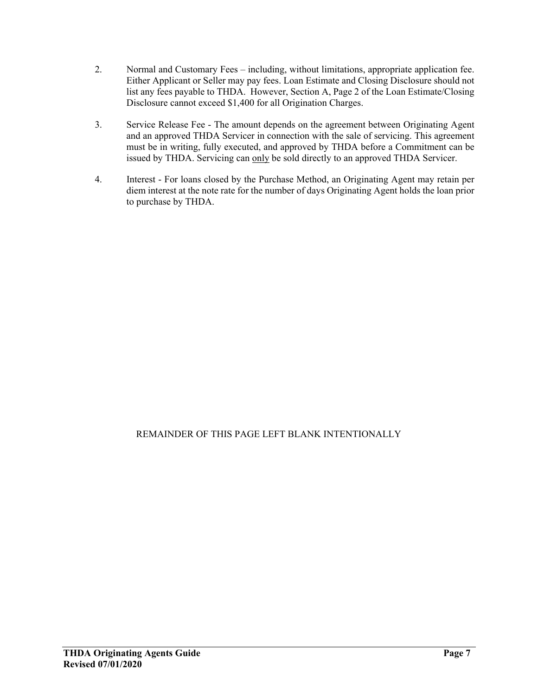- 2. Normal and Customary Fees including, without limitations, appropriate application fee. Either Applicant or Seller may pay fees. Loan Estimate and Closing Disclosure should not list any fees payable to THDA. However, Section A, Page 2 of the Loan Estimate/Closing Disclosure cannot exceed \$1,400 for all Origination Charges.
- 3. Service Release Fee The amount depends on the agreement between Originating Agent and an approved THDA Servicer in connection with the sale of servicing. This agreement must be in writing, fully executed, and approved by THDA before a Commitment can be issued by THDA. Servicing can only be sold directly to an approved THDA Servicer.
- 4. Interest For loans closed by the Purchase Method, an Originating Agent may retain per diem interest at the note rate for the number of days Originating Agent holds the loan prior to purchase by THDA.

# REMAINDER OF THIS PAGE LEFT BLANK INTENTIONALLY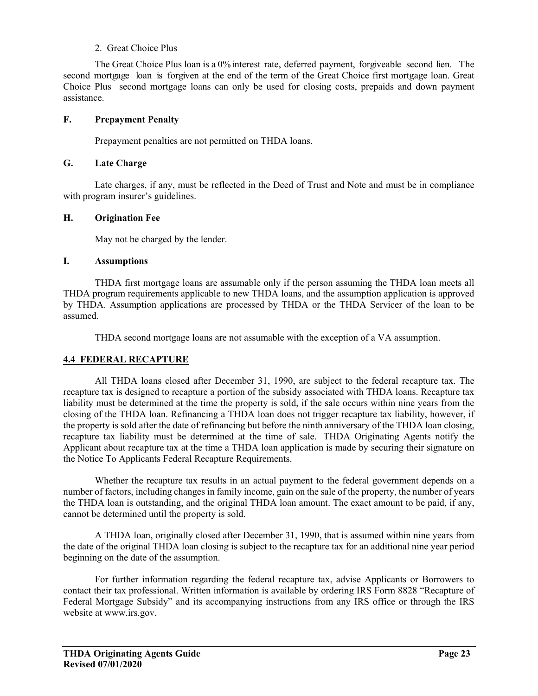## 2. Great Choice Plus

 The Great Choice Plus loan is a 0% interest rate, deferred payment, forgiveable second lien. The second mortgage loan is forgiven at the end of the term of the Great Choice first mortgage loan. Great Choice Plus second mortgage loans can only be used for closing costs, prepaids and down payment assistance.

## **F. Prepayment Penalty**

Prepayment penalties are not permitted on THDA loans.

#### **G. Late Charge**

Late charges, if any, must be reflected in the Deed of Trust and Note and must be in compliance with program insurer's guidelines.

# **H. Origination Fee**

May not be charged by the lender.

#### **I. Assumptions**

THDA first mortgage loans are assumable only if the person assuming the THDA loan meets all THDA program requirements applicable to new THDA loans, and the assumption application is approved by THDA. Assumption applications are processed by THDA or the THDA Servicer of the loan to be assumed.

THDA second mortgage loans are not assumable with the exception of a VA assumption.

# **4.4 FEDERAL RECAPTURE**

All THDA loans closed after December 31, 1990, are subject to the federal recapture tax. The recapture tax is designed to recapture a portion of the subsidy associated with THDA loans. Recapture tax liability must be determined at the time the property is sold, if the sale occurs within nine years from the closing of the THDA loan. Refinancing a THDA loan does not trigger recapture tax liability, however, if the property is sold after the date of refinancing but before the ninth anniversary of the THDA loan closing, recapture tax liability must be determined at the time of sale. THDA Originating Agents notify the Applicant about recapture tax at the time a THDA loan application is made by securing their signature on the Notice To Applicants Federal Recapture Requirements.

Whether the recapture tax results in an actual payment to the federal government depends on a number of factors, including changes in family income, gain on the sale of the property, the number of years the THDA loan is outstanding, and the original THDA loan amount. The exact amount to be paid, if any, cannot be determined until the property is sold.

A THDA loan, originally closed after December 31, 1990, that is assumed within nine years from the date of the original THDA loan closing is subject to the recapture tax for an additional nine year period beginning on the date of the assumption.

For further information regarding the federal recapture tax, advise Applicants or Borrowers to contact their tax professional. Written information is available by ordering IRS Form 8828 "Recapture of Federal Mortgage Subsidy" and its accompanying instructions from any IRS office or through the IRS website at www.irs.gov.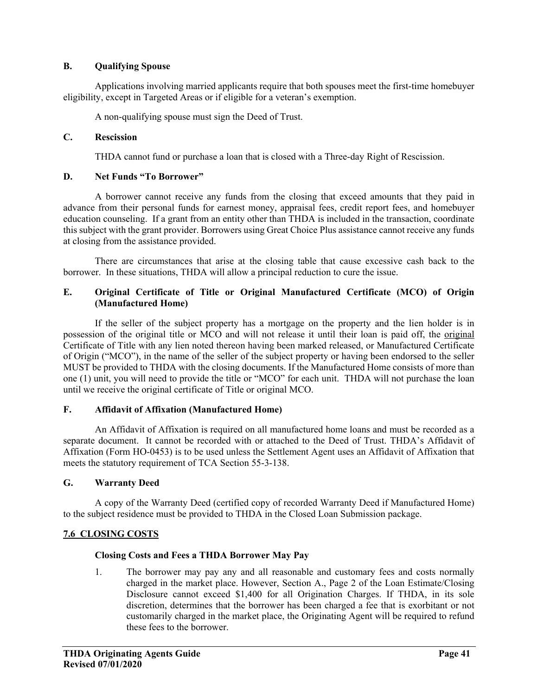# **B. Qualifying Spouse**

Applications involving married applicants require that both spouses meet the first-time homebuyer eligibility, except in Targeted Areas or if eligible for a veteran's exemption.

A non-qualifying spouse must sign the Deed of Trust.

## **C. Rescission**

THDA cannot fund or purchase a loan that is closed with a Three-day Right of Rescission.

# **D. Net Funds "To Borrower"**

A borrower cannot receive any funds from the closing that exceed amounts that they paid in advance from their personal funds for earnest money, appraisal fees, credit report fees, and homebuyer education counseling. If a grant from an entity other than THDA is included in the transaction, coordinate this subject with the grant provider. Borrowers using Great Choice Plus assistance cannot receive any funds at closing from the assistance provided.

There are circumstances that arise at the closing table that cause excessive cash back to the borrower. In these situations, THDA will allow a principal reduction to cure the issue.

# **E. Original Certificate of Title or Original Manufactured Certificate (MCO) of Origin (Manufactured Home)**

If the seller of the subject property has a mortgage on the property and the lien holder is in possession of the original title or MCO and will not release it until their loan is paid off, the original Certificate of Title with any lien noted thereon having been marked released, or Manufactured Certificate of Origin ("MCO"), in the name of the seller of the subject property or having been endorsed to the seller MUST be provided to THDA with the closing documents. If the Manufactured Home consists of more than one (1) unit, you will need to provide the title or "MCO" for each unit. THDA will not purchase the loan until we receive the original certificate of Title or original MCO.

#### **F. Affidavit of Affixation (Manufactured Home)**

An Affidavit of Affixation is required on all manufactured home loans and must be recorded as a separate document. It cannot be recorded with or attached to the Deed of Trust. THDA's Affidavit of Affixation (Form HO-0453) is to be used unless the Settlement Agent uses an Affidavit of Affixation that meets the statutory requirement of TCA Section 55-3-138.

# **G. Warranty Deed**

A copy of the Warranty Deed (certified copy of recorded Warranty Deed if Manufactured Home) to the subject residence must be provided to THDA in the Closed Loan Submission package.

# **7.6 CLOSING COSTS**

#### **Closing Costs and Fees a THDA Borrower May Pay**

1. The borrower may pay any and all reasonable and customary fees and costs normally charged in the market place. However, Section A., Page 2 of the Loan Estimate/Closing Disclosure cannot exceed \$1,400 for all Origination Charges. If THDA, in its sole discretion, determines that the borrower has been charged a fee that is exorbitant or not customarily charged in the market place, the Originating Agent will be required to refund these fees to the borrower.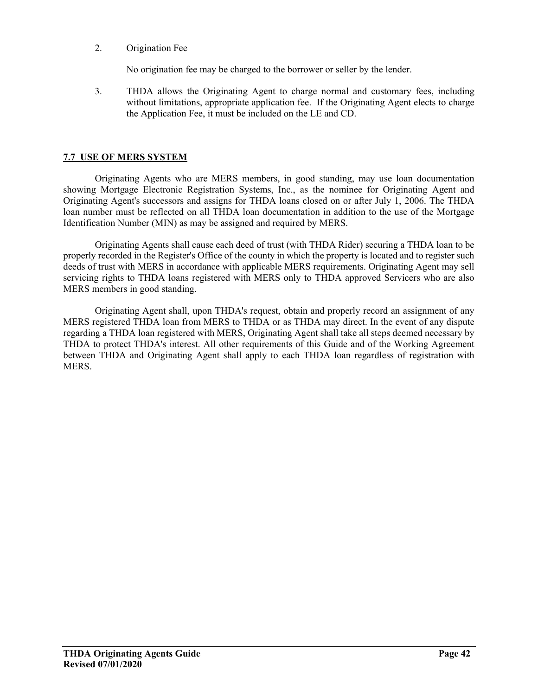2. Origination Fee

No origination fee may be charged to the borrower or seller by the lender.

3. THDA allows the Originating Agent to charge normal and customary fees, including without limitations, appropriate application fee. If the Originating Agent elects to charge the Application Fee, it must be included on the LE and CD.

# **7.7 USE OF MERS SYSTEM**

Originating Agents who are MERS members, in good standing, may use loan documentation showing Mortgage Electronic Registration Systems, Inc., as the nominee for Originating Agent and Originating Agent's successors and assigns for THDA loans closed on or after July 1, 2006. The THDA loan number must be reflected on all THDA loan documentation in addition to the use of the Mortgage Identification Number (MIN) as may be assigned and required by MERS.

Originating Agents shall cause each deed of trust (with THDA Rider) securing a THDA loan to be properly recorded in the Register's Office of the county in which the property is located and to register such deeds of trust with MERS in accordance with applicable MERS requirements. Originating Agent may sell servicing rights to THDA loans registered with MERS only to THDA approved Servicers who are also MERS members in good standing.

Originating Agent shall, upon THDA's request, obtain and properly record an assignment of any MERS registered THDA loan from MERS to THDA or as THDA may direct. In the event of any dispute regarding a THDA loan registered with MERS, Originating Agent shall take all steps deemed necessary by THDA to protect THDA's interest. All other requirements of this Guide and of the Working Agreement between THDA and Originating Agent shall apply to each THDA loan regardless of registration with MERS.